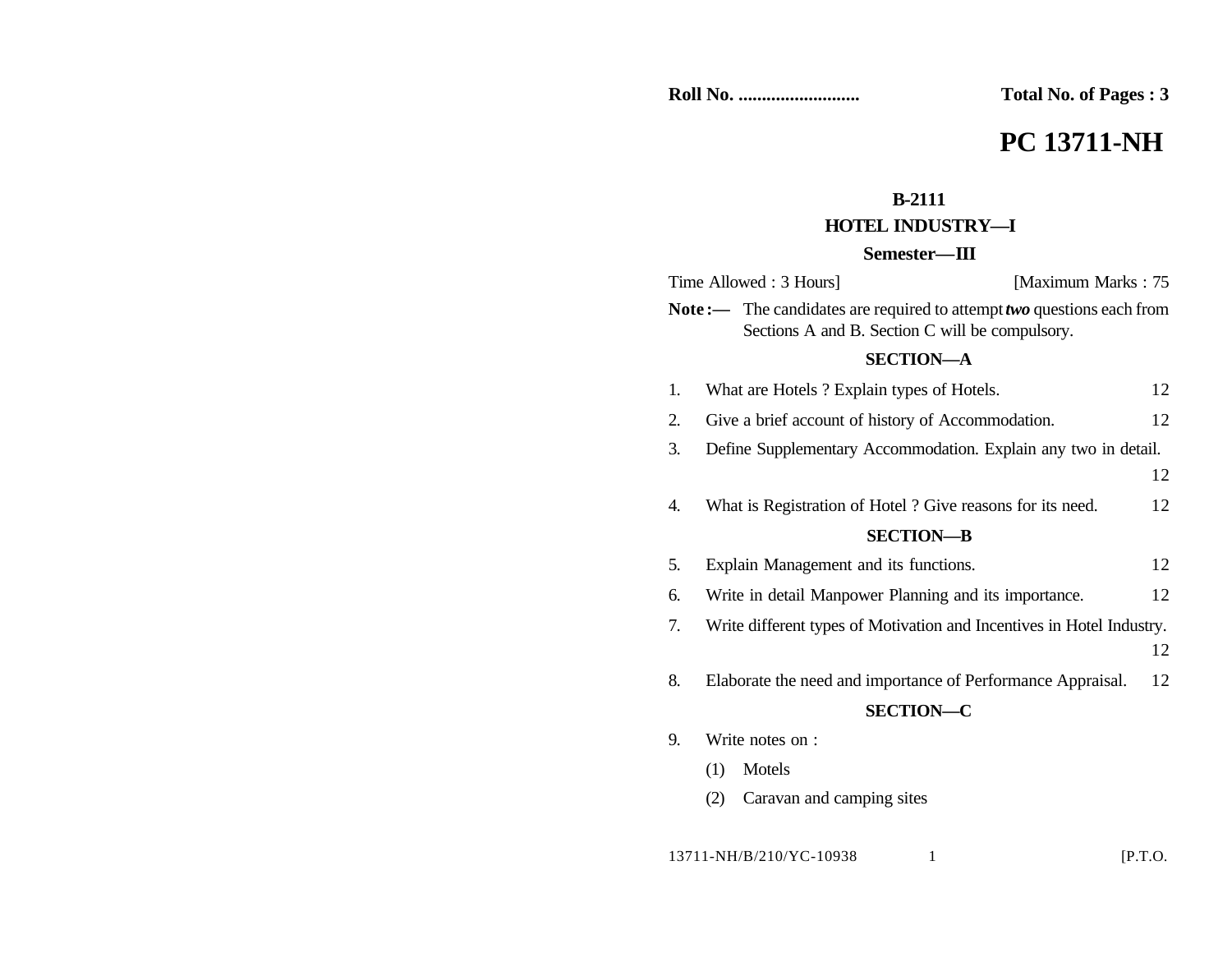**Roll No. .......................... Total No. of Pages : 3**

# **PC 13711-NH**

# **B-2111**

## **HOTEL INDUSTRY—I**

### **Semester—III**

|                                                                                                                          | Time Allowed: 3 Hours]<br>[Maximum Marks: 75]                         |    |
|--------------------------------------------------------------------------------------------------------------------------|-----------------------------------------------------------------------|----|
| Note:— The candidates are required to attempt two questions each from<br>Sections A and B. Section C will be compulsory. |                                                                       |    |
| <b>SECTION-A</b>                                                                                                         |                                                                       |    |
| 1.                                                                                                                       | What are Hotels ? Explain types of Hotels.                            | 12 |
| 2.                                                                                                                       | Give a brief account of history of Accommodation.                     | 12 |
| 3.                                                                                                                       | Define Supplementary Accommodation. Explain any two in detail.        |    |
|                                                                                                                          |                                                                       | 12 |
| 4.                                                                                                                       | What is Registration of Hotel ? Give reasons for its need.            | 12 |
| <b>SECTION-B</b>                                                                                                         |                                                                       |    |
| 5.                                                                                                                       | Explain Management and its functions.                                 | 12 |
| 6.                                                                                                                       | Write in detail Manpower Planning and its importance.                 | 12 |
| 7.                                                                                                                       | Write different types of Motivation and Incentives in Hotel Industry. |    |
|                                                                                                                          |                                                                       | 12 |
| 8.                                                                                                                       | Elaborate the need and importance of Performance Appraisal.           | 12 |
| <b>SECTION-C</b>                                                                                                         |                                                                       |    |
| 9.                                                                                                                       | Write notes on :                                                      |    |
|                                                                                                                          | Motels<br>(1)                                                         |    |
|                                                                                                                          | Caravan and camping sites<br>(2)                                      |    |
|                                                                                                                          |                                                                       |    |

13711-NH/B/210/YC-10938 1 [P.T.O.